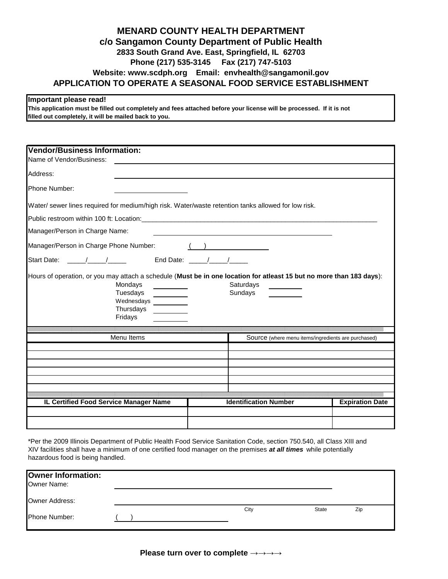## **Phone (217) 535-3145 Fax (217) 747-5103 APPLICATION TO OPERATE A SEASONAL FOOD SERVICE ESTABLISHMENT Website: www.scdph.org Email: envhealth@sangamonil.gov MENARD COUNTY HEALTH DEPARTMENT c/o Sangamon County Department of Public Health 2833 South Grand Ave. East, Springfield, IL 62703**

## **Important please read!**

**This application must be filled out completely and fees attached before your license will be processed. If it is not filled out completely, it will be mailed back to you.**

| <b>Vendor/Business Information:</b><br>Name of Vendor/Business:                                                                                                                              |                              |                                                     |
|----------------------------------------------------------------------------------------------------------------------------------------------------------------------------------------------|------------------------------|-----------------------------------------------------|
| Address:                                                                                                                                                                                     |                              |                                                     |
| Phone Number:                                                                                                                                                                                |                              |                                                     |
| Water/ sewer lines required for medium/high risk. Water/waste retention tanks allowed for low risk.                                                                                          |                              |                                                     |
|                                                                                                                                                                                              |                              |                                                     |
| Manager/Person in Charge Name:                                                                                                                                                               |                              |                                                     |
| Manager/Person in Charge Phone Number:                                                                                                                                                       |                              |                                                     |
|                                                                                                                                                                                              |                              |                                                     |
| Hours of operation, or you may attach a schedule (Must be in one location for atleast 15 but no more than 183 days):<br>Mondays<br>Tuesdays<br>Wednesdays __________<br>Thursdays<br>Fridays | Saturdays<br>Sundays         |                                                     |
| Menu Items                                                                                                                                                                                   |                              |                                                     |
|                                                                                                                                                                                              |                              | Source (where menu items/ingredients are purchased) |
|                                                                                                                                                                                              |                              |                                                     |
|                                                                                                                                                                                              |                              |                                                     |
|                                                                                                                                                                                              |                              |                                                     |
|                                                                                                                                                                                              |                              |                                                     |
|                                                                                                                                                                                              |                              |                                                     |
| IL Certified Food Service Manager Name                                                                                                                                                       | <b>Identification Number</b> | <b>Expiration Date</b>                              |
|                                                                                                                                                                                              |                              |                                                     |
|                                                                                                                                                                                              |                              |                                                     |

hazardous food is being handled. \*Per the 2009 Illinois Department of Public Health Food Service Sanitation Code, section 750.540, all Class XIII and XIV facilities shall have a minimum of one certified food manager on the premises *at all times* while potentially

| <b>Owner Information:</b><br>Owner Name: |  |      |              |     |  |
|------------------------------------------|--|------|--------------|-----|--|
| Owner Address:                           |  |      |              |     |  |
| Phone Number:                            |  | City | <b>State</b> | Zip |  |